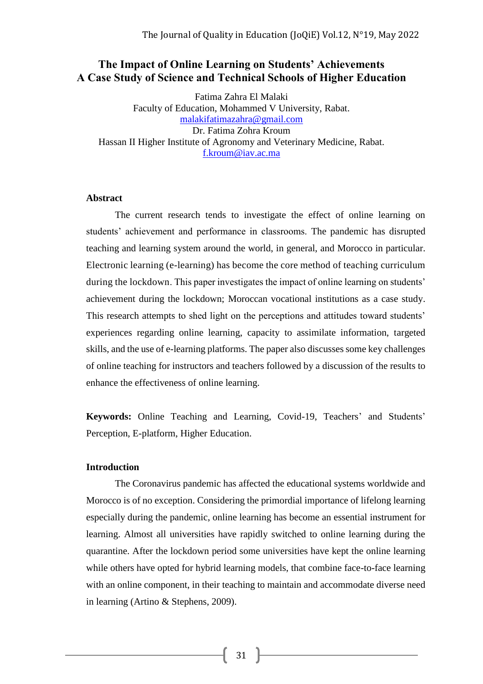# **The Impact of Online Learning on Students' Achievements A Case Study of Science and Technical Schools of Higher Education**

Fatima Zahra El Malaki Faculty of Education, Mohammed V University, Rabat. [malakifatimazahra@gmail.com](mailto:malakifatimazahra@gmail.com) Dr. Fatima Zohra Kroum Hassan II Higher Institute of Agronomy and Veterinary Medicine, Rabat. [f.kroum@iav.ac.ma](mailto:f.kroum@iav.ac.ma)

### **Abstract**

The current research tends to investigate the effect of online learning on students' achievement and performance in classrooms. The pandemic has disrupted teaching and learning system around the world, in general, and Morocco in particular. Electronic learning (e-learning) has become the core method of teaching curriculum during the lockdown. This paper investigates the impact of online learning on students' achievement during the lockdown; Moroccan vocational institutions as a case study. This research attempts to shed light on the perceptions and attitudes toward students' experiences regarding online learning, capacity to assimilate information, targeted skills, and the use of e-learning platforms. The paper also discusses some key challenges of online teaching for instructors and teachers followed by a discussion of the results to enhance the effectiveness of online learning.

**Keywords:** Online Teaching and Learning, Covid-19, Teachers' and Students' Perception, E-platform, Higher Education.

## **Introduction**

The Coronavirus pandemic has affected the educational systems worldwide and Morocco is of no exception. Considering the primordial importance of lifelong learning especially during the pandemic, online learning has become an essential instrument for learning. Almost all universities have rapidly switched to online learning during the quarantine. After the lockdown period some universities have kept the online learning while others have opted for hybrid learning models, that combine face-to-face learning with an online component, in their teaching to maintain and accommodate diverse need in learning (Artino & Stephens, 2009).

31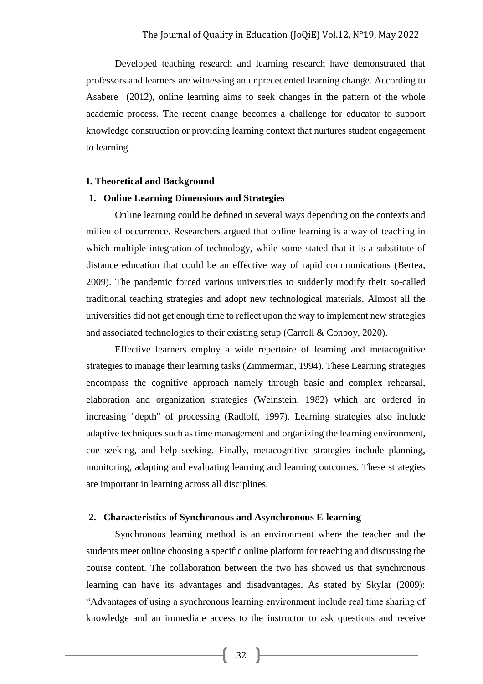Developed teaching research and learning research have demonstrated that professors and learners are witnessing an unprecedented learning change. According to Asabere (2012), online learning aims to seek changes in the pattern of the whole academic process. The recent change becomes a challenge for educator to support knowledge construction or providing learning context that nurtures student engagement to learning.

#### **I. Theoretical and Background**

#### **1. Online Learning Dimensions and Strategies**

Online learning could be defined in several ways depending on the contexts and milieu of occurrence. Researchers argued that online learning is a way of teaching in which multiple integration of technology, while some stated that it is a substitute of distance education that could be an effective way of rapid communications (Bertea, 2009). The pandemic forced various universities to suddenly modify their so-called traditional teaching strategies and adopt new technological materials. Almost all the universities did not get enough time to reflect upon the way to implement new strategies and associated technologies to their existing setup (Carroll & Conboy, 2020).

Effective learners employ a wide repertoire of learning and metacognitive strategies to manage their learning tasks (Zimmerman, 1994). These Learning strategies encompass the cognitive approach namely through basic and complex rehearsal, elaboration and organization strategies (Weinstein, 1982) which are ordered in increasing "depth" of processing (Radloff, 1997). Learning strategies also include adaptive techniques such as time management and organizing the learning environment, cue seeking, and help seeking. Finally, metacognitive strategies include planning, monitoring, adapting and evaluating learning and learning outcomes. These strategies are important in learning across all disciplines.

#### **2. Characteristics of Synchronous and Asynchronous E-learning**

Synchronous learning method is an environment where the teacher and the students meet online choosing a specific online platform for teaching and discussing the course content. The collaboration between the two has showed us that synchronous learning can have its advantages and disadvantages. As stated by Skylar (2009): "Advantages of using a synchronous learning environment include real time sharing of knowledge and an immediate access to the instructor to ask questions and receive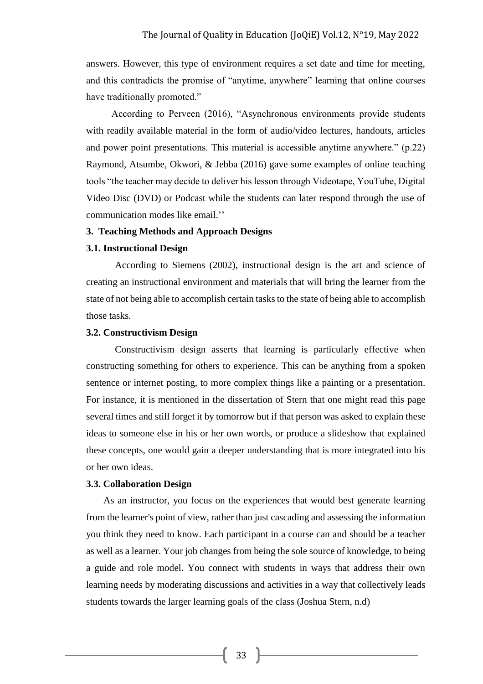answers. However, this type of environment requires a set date and time for meeting, and this contradicts the promise of "anytime, anywhere" learning that online courses have traditionally promoted."

According to Perveen (2016), "Asynchronous environments provide students with readily available material in the form of audio/video lectures, handouts, articles and power point presentations. This material is accessible anytime anywhere." (p.22) Raymond, Atsumbe, Okwori, & Jebba (2016) gave some examples of online teaching tools "the teacher may decide to deliver his lesson through Videotape, YouTube, Digital Video Disc (DVD) or Podcast while the students can later respond through the use of communication modes like email.''

## **3. Teaching Methods and Approach Designs**

#### **3.1. Instructional Design**

According to Siemens (2002), instructional design is the art and science of creating an instructional environment and materials that will bring the learner from the state of not being able to accomplish certain tasks to the state of being able to accomplish those tasks.

#### **3.2. Constructivism Design**

Constructivism design asserts that learning is particularly effective when constructing something for others to experience. This can be anything from a spoken sentence or internet posting, to more complex things like a painting or a presentation. For instance, it is mentioned in the dissertation of Stern that one might read this page several times and still forget it by tomorrow but if that person was asked to explain these ideas to someone else in his or her own words, or produce a slideshow that explained these concepts, one would gain a deeper understanding that is more integrated into his or her own ideas.

## **3.3. Collaboration Design**

As an instructor, you focus on the experiences that would best generate learning from the learner's point of view, rather than just cascading and assessing the information you think they need to know. Each participant in a course can and should be a teacher as well as a learner. Your job changes from being the sole source of knowledge, to being a guide and role model. You connect with students in ways that address their own learning needs by moderating discussions and activities in a way that collectively leads students towards the larger learning goals of the class (Joshua Stern, n.d)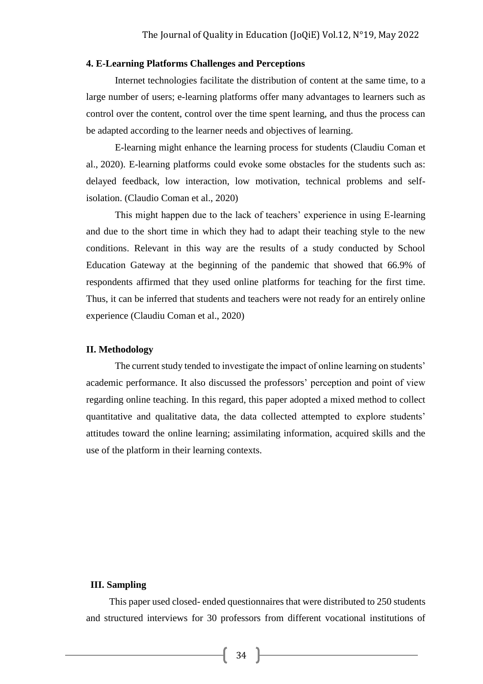## **4. E-Learning Platforms Challenges and Perceptions**

Internet technologies facilitate the distribution of content at the same time, to a large number of users; e-learning platforms offer many advantages to learners such as control over the content, control over the time spent learning, and thus the process can be adapted according to the learner needs and objectives of learning.

E-learning might enhance the learning process for students (Claudiu Coman et al., 2020). E-learning platforms could evoke some obstacles for the students such as: delayed feedback, low interaction, low motivation, technical problems and selfisolation. (Claudio Coman et al., 2020)

This might happen due to the lack of teachers' experience in using E-learning and due to the short time in which they had to adapt their teaching style to the new conditions. Relevant in this way are the results of a study conducted by School Education Gateway at the beginning of the pandemic that showed that 66.9% of respondents affirmed that they used online platforms for teaching for the first time. Thus, it can be inferred that students and teachers were not ready for an entirely online experience (Claudiu Coman et al., 2020)

### **II. Methodology**

The current study tended to investigate the impact of online learning on students' academic performance. It also discussed the professors' perception and point of view regarding online teaching. In this regard, this paper adopted a mixed method to collect quantitative and qualitative data, the data collected attempted to explore students' attitudes toward the online learning; assimilating information, acquired skills and the use of the platform in their learning contexts.

## **III. Sampling**

This paper used closed- ended questionnaires that were distributed to 250 students and structured interviews for 30 professors from different vocational institutions of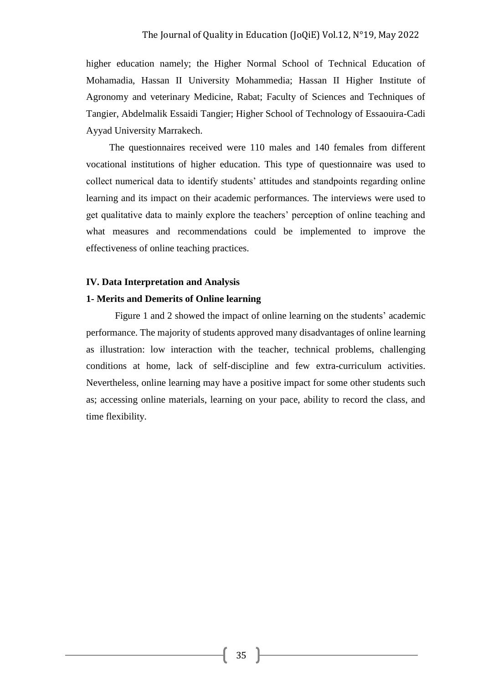higher education namely; the Higher Normal School of Technical Education of Mohamadia, Hassan II University Mohammedia; Hassan II Higher Institute of Agronomy and veterinary Medicine, Rabat; Faculty of Sciences and Techniques of Tangier, Abdelmalik Essaidi Tangier; Higher School of Technology of Essaouira-Cadi Ayyad University Marrakech.

The questionnaires received were 110 males and 140 females from different vocational institutions of higher education. This type of questionnaire was used to collect numerical data to identify students' attitudes and standpoints regarding online learning and its impact on their academic performances. The interviews were used to get qualitative data to mainly explore the teachers' perception of online teaching and what measures and recommendations could be implemented to improve the effectiveness of online teaching practices.

#### **IV. Data Interpretation and Analysis**

#### **1- Merits and Demerits of Online learning**

Figure 1 and 2 showed the impact of online learning on the students' academic performance. The majority of students approved many disadvantages of online learning as illustration: low interaction with the teacher, technical problems, challenging conditions at home, lack of self-discipline and few extra-curriculum activities. Nevertheless, online learning may have a positive impact for some other students such as; accessing online materials, learning on your pace, ability to record the class, and time flexibility.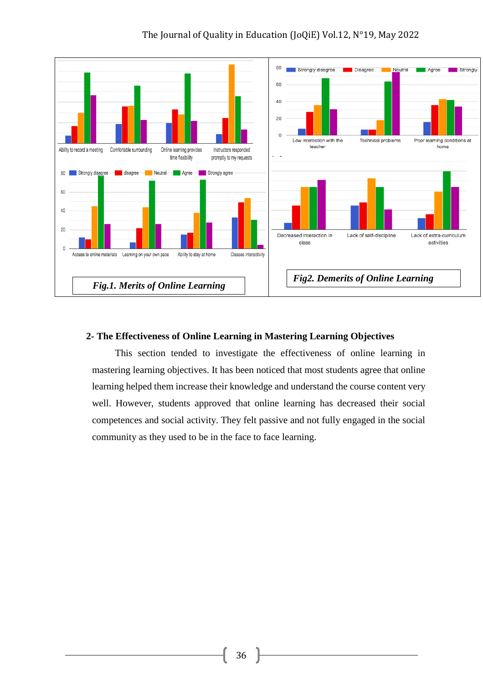

## **2- The Effectiveness of Online Learning in Mastering Learning Objectives**

This section tended to investigate the effectiveness of online learning in mastering learning objectives. It has been noticed that most students agree that online learning helped them increase their knowledge and understand the course content very well. However, students approved that online learning has decreased their social competences and social activity. They felt passive and not fully engaged in the social community as they used to be in the face to face learning.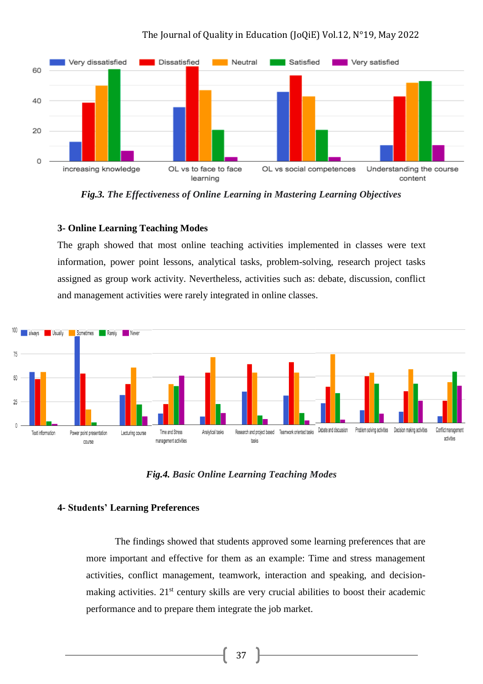

*Fig.3. The Effectiveness of Online Learning in Mastering Learning Objectives*

## **3- Online Learning Teaching Modes**

The graph showed that most online teaching activities implemented in classes were text information, power point lessons, analytical tasks, problem-solving, research project tasks assigned as group work activity. Nevertheless, activities such as: debate, discussion, conflict and management activities were rarely integrated in online classes.



*Fig.4. Basic Online Learning Teaching Modes*

## **4- Students' Learning Preferences**

The findings showed that students approved some learning preferences that are more important and effective for them as an example: Time and stress management activities, conflict management, teamwork, interaction and speaking, and decisionmaking activities. 21<sup>st</sup> century skills are very crucial abilities to boost their academic performance and to prepare them integrate the job market.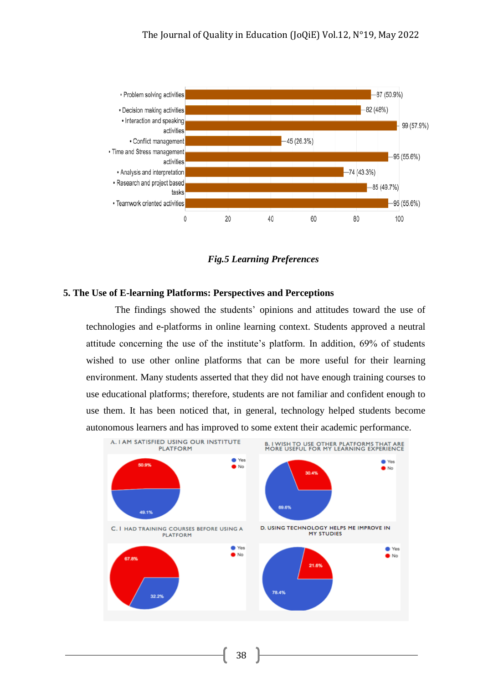

*Fig.5 Learning Preferences*

## **5. The Use of E-learning Platforms: Perspectives and Perceptions**

The findings showed the students' opinions and attitudes toward the use of technologies and e-platforms in online learning context. Students approved a neutral attitude concerning the use of the institute's platform. In addition, 69% of students wished to use other online platforms that can be more useful for their learning environment. Many students asserted that they did not have enough training courses to use educational platforms; therefore, students are not familiar and confident enough to use them. It has been noticed that, in general, technology helped students become autonomous learners and has improved to some extent their academic performance.



38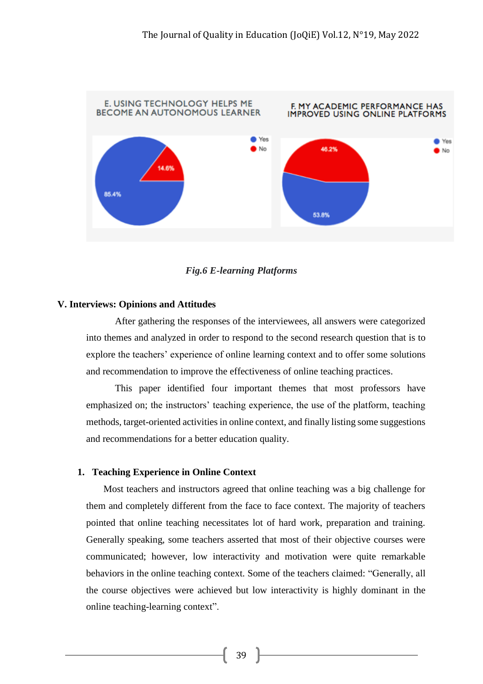

*Fig.6 E-learning Platforms*

## **V. Interviews: Opinions and Attitudes**

After gathering the responses of the interviewees, all answers were categorized into themes and analyzed in order to respond to the second research question that is to explore the teachers' experience of online learning context and to offer some solutions and recommendation to improve the effectiveness of online teaching practices.

This paper identified four important themes that most professors have emphasized on; the instructors' teaching experience, the use of the platform, teaching methods, target-oriented activities in online context, and finally listing some suggestions and recommendations for a better education quality.

## **1. Teaching Experience in Online Context**

Most teachers and instructors agreed that online teaching was a big challenge for them and completely different from the face to face context. The majority of teachers pointed that online teaching necessitates lot of hard work, preparation and training. Generally speaking, some teachers asserted that most of their objective courses were communicated; however, low interactivity and motivation were quite remarkable behaviors in the online teaching context. Some of the teachers claimed: "Generally, all the course objectives were achieved but low interactivity is highly dominant in the online teaching-learning context".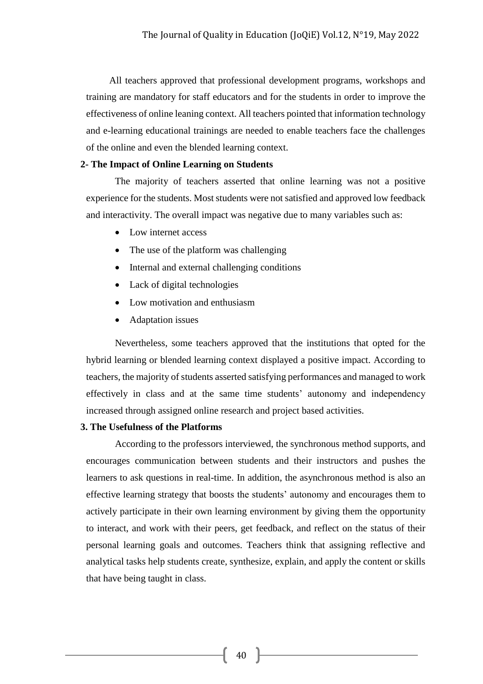All teachers approved that professional development programs, workshops and training are mandatory for staff educators and for the students in order to improve the effectiveness of online leaning context. All teachers pointed that information technology and e-learning educational trainings are needed to enable teachers face the challenges of the online and even the blended learning context.

#### **2- The Impact of Online Learning on Students**

The majority of teachers asserted that online learning was not a positive experience for the students. Most students were not satisfied and approved low feedback and interactivity. The overall impact was negative due to many variables such as:

- Low internet access
- The use of the platform was challenging
- Internal and external challenging conditions
- Lack of digital technologies
- Low motivation and enthusiasm
- Adaptation issues

 Nevertheless, some teachers approved that the institutions that opted for the hybrid learning or blended learning context displayed a positive impact. According to teachers, the majority of students asserted satisfying performances and managed to work effectively in class and at the same time students' autonomy and independency increased through assigned online research and project based activities.

## **3. The Usefulness of the Platforms**

According to the professors interviewed, the synchronous method supports, and encourages communication between students and their instructors and pushes the learners to ask questions in real-time. In addition, the asynchronous method is also an effective learning strategy that boosts the students' autonomy and encourages them to actively participate in their own learning environment by giving them the opportunity to interact, and work with their peers, get feedback, and reflect on the status of their personal learning goals and outcomes. Teachers think that assigning reflective and analytical tasks help students create, synthesize, explain, and apply the content or skills that have being taught in class.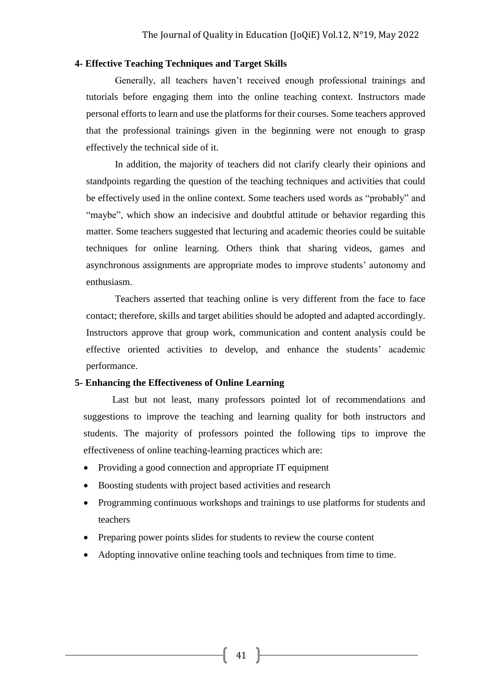## **4- Effective Teaching Techniques and Target Skills**

Generally, all teachers haven't received enough professional trainings and tutorials before engaging them into the online teaching context. Instructors made personal efforts to learn and use the platforms for their courses. Some teachers approved that the professional trainings given in the beginning were not enough to grasp effectively the technical side of it.

In addition, the majority of teachers did not clarify clearly their opinions and standpoints regarding the question of the teaching techniques and activities that could be effectively used in the online context. Some teachers used words as "probably" and "maybe", which show an indecisive and doubtful attitude or behavior regarding this matter. Some teachers suggested that lecturing and academic theories could be suitable techniques for online learning. Others think that sharing videos, games and asynchronous assignments are appropriate modes to improve students' autonomy and enthusiasm.

Teachers asserted that teaching online is very different from the face to face contact; therefore, skills and target abilities should be adopted and adapted accordingly. Instructors approve that group work, communication and content analysis could be effective oriented activities to develop, and enhance the students' academic performance.

#### **5- Enhancing the Effectiveness of Online Learning**

Last but not least, many professors pointed lot of recommendations and suggestions to improve the teaching and learning quality for both instructors and students. The majority of professors pointed the following tips to improve the effectiveness of online teaching-learning practices which are:

- Providing a good connection and appropriate IT equipment
- Boosting students with project based activities and research
- Programming continuous workshops and trainings to use platforms for students and teachers
- Preparing power points slides for students to review the course content
- Adopting innovative online teaching tools and techniques from time to time.

41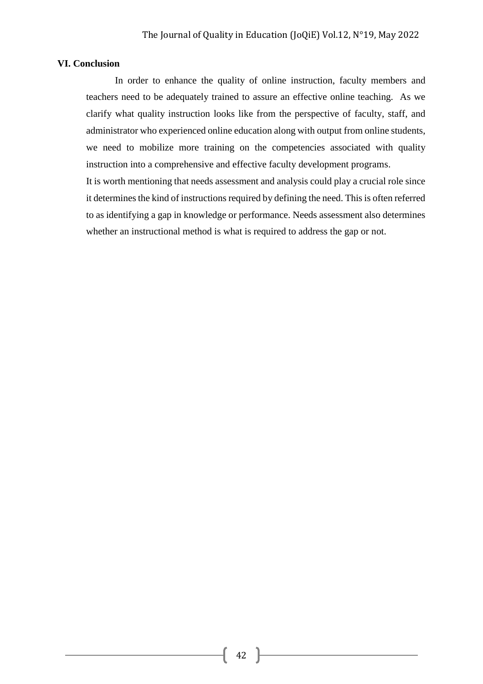## **VI. Conclusion**

In order to enhance the quality of online instruction, faculty members and teachers need to be adequately trained to assure an effective online teaching. As we clarify what quality instruction looks like from the perspective of faculty, staff, and administrator who experienced online education along with output from online students, we need to mobilize more training on the competencies associated with quality instruction into a comprehensive and effective faculty development programs.

It is worth mentioning that needs assessment and analysis could play a crucial role since it determines the kind of instructions required by defining the need. This is often referred to as identifying a gap in knowledge or performance. Needs assessment also determines whether an instructional method is what is required to address the gap or not.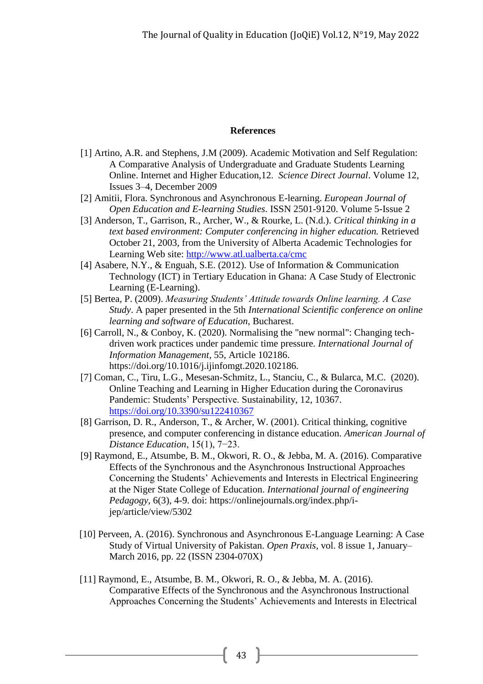## **References**

- [1] Artino, A.R. and Stephens, J.M (2009). Academic Motivation and Self Regulation: A Comparative Analysis of Undergraduate and Graduate Students Learning Online. Internet and Higher Education,12. *Science Direct Journal*. [Volume 12,](https://www.sciencedirect.com/science/journal/10967516/12/3)  [Issues 3–4,](https://www.sciencedirect.com/science/journal/10967516/12/3) December 2009
- [2] Amitii, Flora. Synchronous and Asynchronous E-learning. *European Journal of Open Education and E-learning Studies*. ISSN 2501-9120. Volume 5-Issue 2
- [3] Anderson, T., Garrison, R., Archer, W., & Rourke, L. (N.d.). *Critical thinking in a text based environment: Computer conferencing in higher education.* Retrieved October 21, 2003, from the University of Alberta Academic Technologies for Learning Web site:<http://www.atl.ualberta.ca/cmc>
- [4] Asabere, N.Y., & Enguah, S.E. (2012). Use of Information & Communication Technology (ICT) in Tertiary Education in Ghana: A Case Study of Electronic Learning (E-Learning).
- [5] Bertea, P. (2009). *Measuring Students' Attitude towards Online learning. A Case Study*. A paper presented in the 5th *International Scientific conference on online learning and software of Education*, Bucharest.
- [6] Carroll, N., & Conboy, K. (2020). Normalising the "new normal": Changing techdriven work practices under pandemic time pressure. *International Journal of Information Management*, 55, Article 102186. https://doi.org/10.1016/j.ijinfomgt.2020.102186.
- [7] Coman, C., Tiru, L.G., Mesesan-Schmitz, L., Stanciu, C., & Bularca, M.C. (2020). Online Teaching and Learning in Higher Education during the Coronavirus Pandemic: Students' Perspective. Sustainability, 12, 10367. <https://doi.org/10.3390/su122410367>
- [8] Garrison, D. R., Anderson, T., & Archer, W. (2001). Critical thinking, cognitive presence, and computer conferencing in distance education. *American Journal of Distance Education*, 15(1), 7−23.
- [9] Raymond, E., Atsumbe, B. M., Okwori, R. O., & Jebba, M. A. (2016). Comparative Effects of the Synchronous and the Asynchronous Instructional Approaches Concerning the Students' Achievements and Interests in Electrical Engineering at the Niger State College of Education. *International journal of engineering Pedagogy*, 6(3), 4-9. doi: https://onlinejournals.org/index.php/ijep/article/view/5302
- [\[10\] Perveen, A. \(2016\). Synchronous and Asynchronous E-Language Learning: A Case](https://vu-pk.academia.edu/AyeshaPerveen?swp=tc-au-26398771)  Study [of Virtual University of Pakistan.](https://vu-pk.academia.edu/AyeshaPerveen?swp=tc-au-26398771) *Open Praxis*, vol. 8 issue 1, January– [March 2016, pp. 22 \(ISSN 2304-070X\)](https://vu-pk.academia.edu/AyeshaPerveen?swp=tc-au-26398771)
- [11] Raymond, E., Atsumbe, B. M., Okwori, R. O., & Jebba, M. A. (2016). Comparative Effects of the Synchronous and the Asynchronous Instructional Approaches Concerning the Students' Achievements and Interests in Electrical

43 }